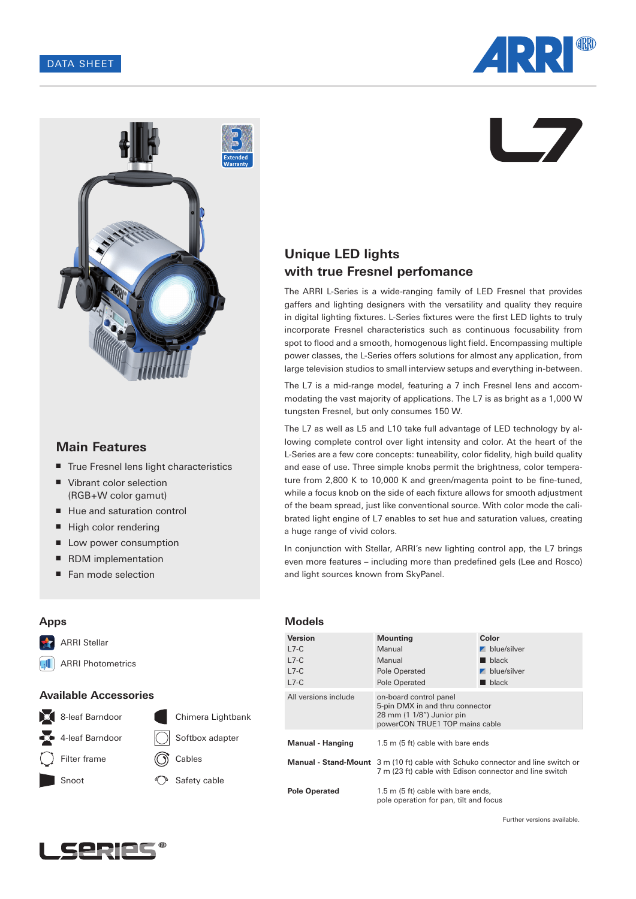



# **Main Features**

- True Fresnel lens light characteristics
- Vibrant color selection (RGB+W color gamut)
- Hue and saturation control
- High color rendering
- Low power consumption
- RDM implementation
- Fan mode selection

**Models**

# **Unique LED lights with true Fresnel perfomance**

The ARRI L-Series is a wide-ranging family of LED Fresnel that provides gaffers and lighting designers with the versatility and quality they require in digital lighting fixtures. L-Series fixtures were the first LED lights to truly incorporate Fresnel characteristics such as continuous focusability from spot to flood and a smooth, homogenous light field. Encompassing multiple power classes, the L-Series offers solutions for almost any application, from large television studios to small interview setups and everything in-between.

The L7 is a mid-range model, featuring a 7 inch Fresnel lens and accommodating the vast majority of applications. The L7 is as bright as a 1,000 W tungsten Fresnel, but only consumes 150 W.

The L7 as well as L5 and L10 take full advantage of LED technology by allowing complete control over light intensity and color. At the heart of the L-Series are a few core concepts: tuneability, color fidelity, high build quality and ease of use. Three simple knobs permit the brightness, color temperature from 2,800 K to 10,000 K and green/magenta point to be fine-tuned, while a focus knob on the side of each fixture allows for smooth adjustment of the beam spread, just like conventional source. With color mode the calibrated light engine of L7 enables to set hue and saturation values, creating a huge range of vivid colors.

In conjunction with Stellar, ARRI's new lighting control app, the L7 brings even more features – including more than predefined gels (Lee and Rosco) and light sources known from SkyPanel.

| Version                 | <b>Mounting</b>                                                                                                                                   | Color                      |  |  |  |
|-------------------------|---------------------------------------------------------------------------------------------------------------------------------------------------|----------------------------|--|--|--|
| $L7-C$                  | Manual                                                                                                                                            | $\blacksquare$ blue/silver |  |  |  |
| $L7-C$                  | Manual                                                                                                                                            | black                      |  |  |  |
| $L7-C$                  | Pole Operated                                                                                                                                     | $\blacksquare$ blue/silver |  |  |  |
| $L7-C$                  | Pole Operated                                                                                                                                     | $\blacksquare$ black       |  |  |  |
| All versions include    | on-board control panel<br>5-pin DMX in and thru connector<br>28 mm (1 1/8") Junior pin<br>powerCON TRUE1 TOP mains cable                          |                            |  |  |  |
| <b>Manual - Hanging</b> | 1.5 m (5 ft) cable with bare ends                                                                                                                 |                            |  |  |  |
|                         | <b>Manual - Stand-Mount</b> 3 m (10 ft) cable with Schuko connector and line switch or<br>7 m (23 ft) cable with Edison connector and line switch |                            |  |  |  |
| <b>Pole Operated</b>    | 1.5 m (5 ft) cable with bare ends,<br>pole operation for pan, tilt and focus                                                                      |                            |  |  |  |

ARRI Photometrics  $\mathbf{u}$ 

**Apps**

 $\blacklozenge$ 

ARRI Stellar

# **Available Accessories**





Further versions available.